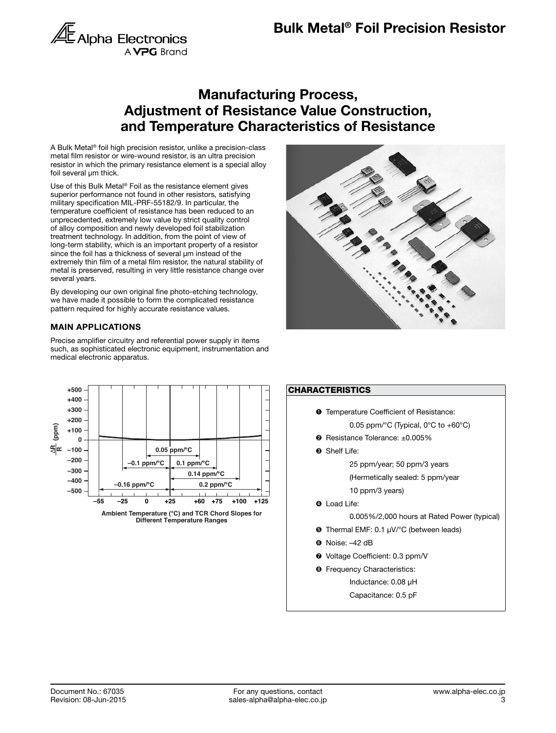

## Manufacturing Process, Adjustment of Resistance Value Construction, and Temperature Characteristics of Resistance

A Bulk Metal® foil high precision resistor, unlike a precision-class metal film resistor or wire-wound resistor, is an ultra precision resistor in which the primary resistance element is a special alloy foil several µm thick.

Use of this Bulk Metal<sup>®</sup> Foil as the resistance element gives superior performance not found in other resistors, satisfying military specification MIL-PRF-55182/9. In particular, the temperature coefficient of resistance has been reduced to an unprecedented, extremely low value by strict quality control of alloy composition and newly developed foil stabilization treatment technology. In addition, from the point of view of long-term stability, which is an important property of a resistor since the foil has a thickness of several µm instead of the extremely thin film of a metal film resistor, the natural stability of metal is preserved, resulting in very little resistance change over several years.

By developing our own original fine photo-etching technology, we have made it possible to form the complicated resistance pattern required for highly accurate resistance values.

### MAIN APPLICATIONS

Precise amplifier circuitry and referential power supply in items such, as sophisticated electronic equipment, instrumentation and medical electronic apparatus.







Capacitance: 0.5 pF



**Different Temperature Ranges**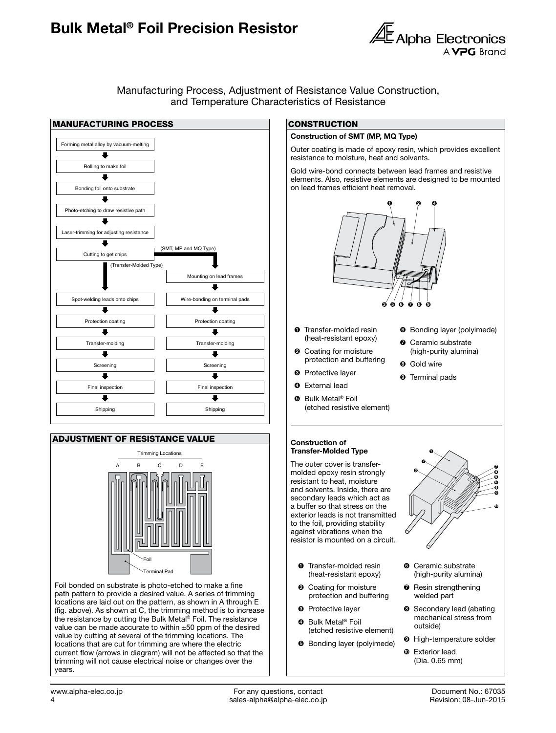# Bulk Metal® Foil Precision Resistor Bulk Metal® Foil Precision Resistor



Manufacturing Process, Adjustment of Resistance Value Construction, and Temperature Characteristics of Resistance



#### ADJUSTMENT OF RESISTANCE VALUE



Foil bonded on substrate is photo-etched to make a fine path pattern to provide a desired value. A series of trimming locations are laid out on the pattern, as shown in A through E (fig. above). As shown at C, the trimming method is to increase the resistance by cutting the Bulk Metal® Foil. The resistance value can be made accurate to within ±50 ppm of the desired value by cutting at several of the trimming locations. The locations that are cut for trimming are where the electric current flow (arrows in diagram) will not be affected so that the trimming will not cause electrical noise or changes over the years.

#### **CONSTRUCTION**

#### Construction of SMT (MP, MQ Type)

Outer coating is made of epoxy resin, which provides excellent resistance to moisture, heat and solvents.

Gold wire-bond connects between lead frames and resistive elements. Also, resistive elements are designed to be mounted on lead frames efficient heat removal.



- **O** Transfer-molded resin (heat-resistant epoxy)
- ➋ Coating for moisture protection and buffering

(etched resistive element)

- ➏ Bonding layer (polyimede)
- Ceramic substrate (high-purity alumina)
- **<sup>O</sup>** Gold wire
- **<sup>O</sup>** Terminal pads
- Construction of Transfer-Molded Type

➌ Protective layer **O** External lead **<sup>O</sup>** Bulk Metal<sup>®</sup> Foil

The outer cover is transfermolded epoxy resin strongly resistant to heat, moisture and solvents. Inside, there are secondary leads which act as a buffer so that stress on the exterior leads is not transmitted to the foil, providing stability against vibrations when the resistor is mounted on a circuit.

- **O** Transfer-molded resin (heat-resistant epoxy)
- ➋ Coating for moisture protection and buffering
- ➌ Protective layer
- **O** Bulk Metal<sup>®</sup> Foil (etched resistive element)
- ➎ Bonding layer (polyimede)



- ➏ Ceramic substrate (high-purity alumina)
- ➐ Resin strengthening welded part
- **<sup>3</sup>** Secondary lead (abating mechanical stress from outside)
- ➒ High-temperature solder
- ➓ Exterior lead (Dia. 0.65 mm)